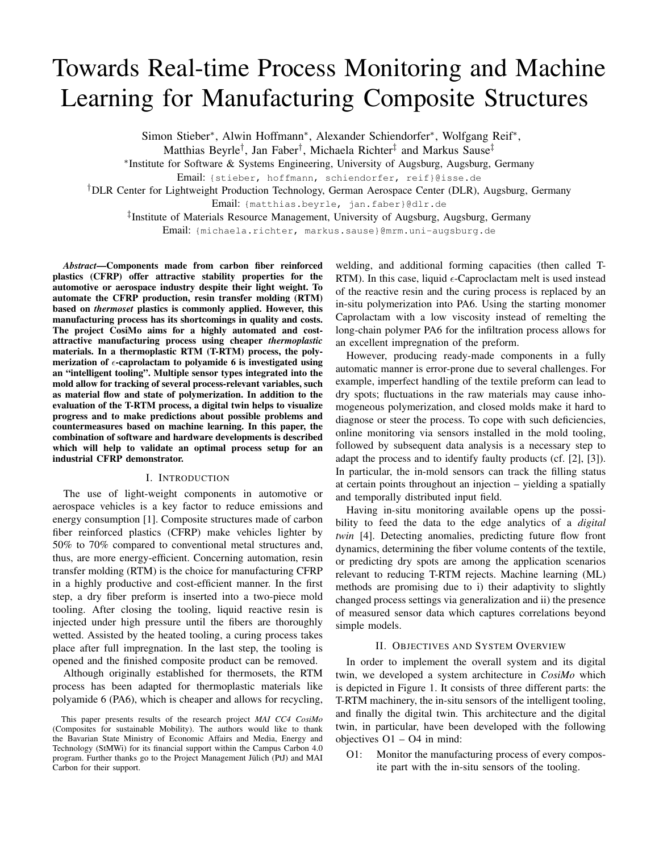# Towards Real-time Process Monitoring and Machine Learning for Manufacturing Composite Structures

Simon Stieber\*, Alwin Hoffmann\*, Alexander Schiendorfer\*, Wolfgang Reif\*,

Matthias Beyrle† , Jan Faber† , Michaela Richter‡ and Markus Sause‡

∗ Institute for Software & Systems Engineering, University of Augsburg, Augsburg, Germany

Email: {stieber, hoffmann, schiendorfer, reif}@isse.de

†DLR Center for Lightweight Production Technology, German Aerospace Center (DLR), Augsburg, Germany

Email: {matthias.beyrle, jan.faber}@dlr.de

‡ Institute of Materials Resource Management, University of Augsburg, Augsburg, Germany

Email: {michaela.richter, markus.sause}@mrm.uni-augsburg.de

*Abstract*—Components made from carbon fiber reinforced plastics (CFRP) offer attractive stability properties for the automotive or aerospace industry despite their light weight. To automate the CFRP production, resin transfer molding (RTM) based on *thermoset* plastics is commonly applied. However, this manufacturing process has its shortcomings in quality and costs. The project CosiMo aims for a highly automated and costattractive manufacturing process using cheaper *thermoplastic* materials. In a thermoplastic RTM (T-RTM) process, the polymerization of  $\epsilon$ -caprolactam to polyamide 6 is investigated using an "intelligent tooling". Multiple sensor types integrated into the mold allow for tracking of several process-relevant variables, such as material flow and state of polymerization. In addition to the evaluation of the T-RTM process, a digital twin helps to visualize progress and to make predictions about possible problems and countermeasures based on machine learning. In this paper, the combination of software and hardware developments is described which will help to validate an optimal process setup for an industrial CFRP demonstrator.

## I. INTRODUCTION

The use of light-weight components in automotive or aerospace vehicles is a key factor to reduce emissions and energy consumption [1]. Composite structures made of carbon fiber reinforced plastics (CFRP) make vehicles lighter by 50% to 70% compared to conventional metal structures and, thus, are more energy-efficient. Concerning automation, resin transfer molding (RTM) is the choice for manufacturing CFRP in a highly productive and cost-efficient manner. In the first step, a dry fiber preform is inserted into a two-piece mold tooling. After closing the tooling, liquid reactive resin is injected under high pressure until the fibers are thoroughly wetted. Assisted by the heated tooling, a curing process takes place after full impregnation. In the last step, the tooling is opened and the finished composite product can be removed.

Although originally established for thermosets, the RTM process has been adapted for thermoplastic materials like polyamide 6 (PA6), which is cheaper and allows for recycling,

welding, and additional forming capacities (then called T-RTM). In this case, liquid  $\epsilon$ -Caproclactam melt is used instead of the reactive resin and the curing process is replaced by an in-situ polymerization into PA6. Using the starting monomer Caprolactam with a low viscosity instead of remelting the long-chain polymer PA6 for the infiltration process allows for an excellent impregnation of the preform.

However, producing ready-made components in a fully automatic manner is error-prone due to several challenges. For example, imperfect handling of the textile preform can lead to dry spots; fluctuations in the raw materials may cause inhomogeneous polymerization, and closed molds make it hard to diagnose or steer the process. To cope with such deficiencies, online monitoring via sensors installed in the mold tooling, followed by subsequent data analysis is a necessary step to adapt the process and to identify faulty products (cf. [2], [3]). In particular, the in-mold sensors can track the filling status at certain points throughout an injection – yielding a spatially and temporally distributed input field.

Having in-situ monitoring available opens up the possibility to feed the data to the edge analytics of a *digital twin* [4]. Detecting anomalies, predicting future flow front dynamics, determining the fiber volume contents of the textile, or predicting dry spots are among the application scenarios relevant to reducing T-RTM rejects. Machine learning (ML) methods are promising due to i) their adaptivity to slightly changed process settings via generalization and ii) the presence of measured sensor data which captures correlations beyond simple models.

## II. OBJECTIVES AND SYSTEM OVERVIEW

In order to implement the overall system and its digital twin, we developed a system architecture in *CosiMo* which is depicted in Figure 1. It consists of three different parts: the T-RTM machinery, the in-situ sensors of the intelligent tooling, and finally the digital twin. This architecture and the digital twin, in particular, have been developed with the following objectives O1 – O4 in mind:

O1: Monitor the manufacturing process of every composite part with the in-situ sensors of the tooling.

This paper presents results of the research project *MAI CC4 CosiMo* (Composites for sustainable Mobility). The authors would like to thank the Bavarian State Ministry of Economic Affairs and Media, Energy and Technology (StMWi) for its financial support within the Campus Carbon 4.0 program. Further thanks go to the Project Management Jülich (PtJ) and MAI Carbon for their support.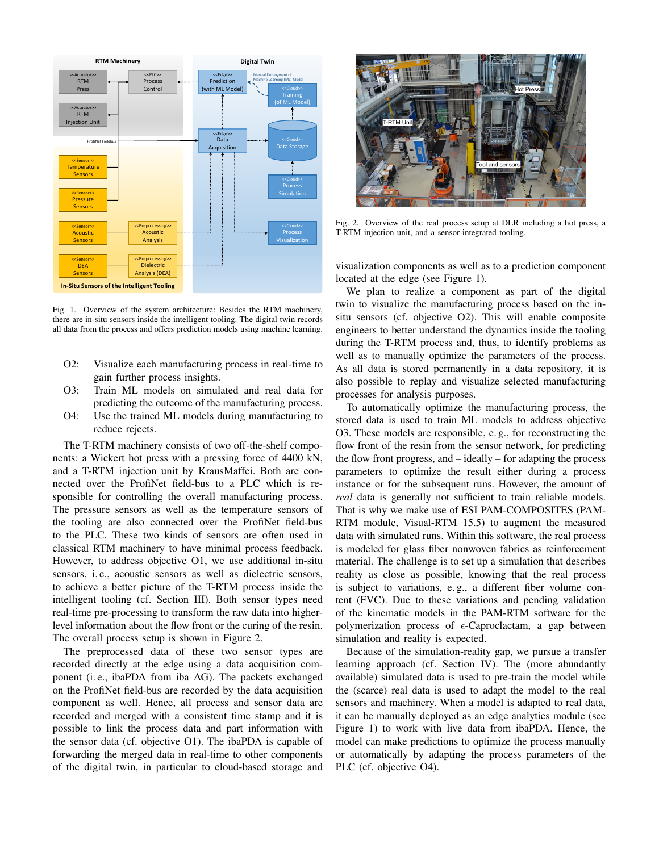

Fig. 1. Overview of the system architecture: Besides the RTM machinery, there are in-situ sensors inside the intelligent tooling. The digital twin records all data from the process and offers prediction models using machine learning.

- O2: Visualize each manufacturing process in real-time to gain further process insights.
- O3: Train ML models on simulated and real data for predicting the outcome of the manufacturing process.
- O4: Use the trained ML models during manufacturing to reduce rejects.

The T-RTM machinery consists of two off-the-shelf components: a Wickert hot press with a pressing force of 4400 kN, and a T-RTM injection unit by KrausMaffei. Both are connected over the ProfiNet field-bus to a PLC which is responsible for controlling the overall manufacturing process. The pressure sensors as well as the temperature sensors of the tooling are also connected over the ProfiNet field-bus to the PLC. These two kinds of sensors are often used in classical RTM machinery to have minimal process feedback. However, to address objective O1, we use additional in-situ sensors, i. e., acoustic sensors as well as dielectric sensors, to achieve a better picture of the T-RTM process inside the intelligent tooling (cf. Section III). Both sensor types need real-time pre-processing to transform the raw data into higherlevel information about the flow front or the curing of the resin. The overall process setup is shown in Figure 2.

The preprocessed data of these two sensor types are recorded directly at the edge using a data acquisition component (i. e., ibaPDA from iba AG). The packets exchanged on the ProfiNet field-bus are recorded by the data acquisition component as well. Hence, all process and sensor data are recorded and merged with a consistent time stamp and it is possible to link the process data and part information with the sensor data (cf. objective O1). The ibaPDA is capable of forwarding the merged data in real-time to other components of the digital twin, in particular to cloud-based storage and



Fig. 2. Overview of the real process setup at DLR including a hot press, a T-RTM injection unit, and a sensor-integrated tooling.

visualization components as well as to a prediction component located at the edge (see Figure 1).

We plan to realize a component as part of the digital twin to visualize the manufacturing process based on the insitu sensors (cf. objective O2). This will enable composite engineers to better understand the dynamics inside the tooling during the T-RTM process and, thus, to identify problems as well as to manually optimize the parameters of the process. As all data is stored permanently in a data repository, it is also possible to replay and visualize selected manufacturing processes for analysis purposes.

To automatically optimize the manufacturing process, the stored data is used to train ML models to address objective O3. These models are responsible, e. g., for reconstructing the flow front of the resin from the sensor network, for predicting the flow front progress, and – ideally – for adapting the process parameters to optimize the result either during a process instance or for the subsequent runs. However, the amount of *real* data is generally not sufficient to train reliable models. That is why we make use of ESI PAM-COMPOSITES (PAM-RTM module, Visual-RTM 15.5) to augment the measured data with simulated runs. Within this software, the real process is modeled for glass fiber nonwoven fabrics as reinforcement material. The challenge is to set up a simulation that describes reality as close as possible, knowing that the real process is subject to variations, e. g., a different fiber volume content (FVC). Due to these variations and pending validation of the kinematic models in the PAM-RTM software for the polymerization process of  $\epsilon$ -Caproclactam, a gap between simulation and reality is expected.

Because of the simulation-reality gap, we pursue a transfer learning approach (cf. Section IV). The (more abundantly available) simulated data is used to pre-train the model while the (scarce) real data is used to adapt the model to the real sensors and machinery. When a model is adapted to real data, it can be manually deployed as an edge analytics module (see Figure 1) to work with live data from ibaPDA. Hence, the model can make predictions to optimize the process manually or automatically by adapting the process parameters of the PLC (cf. objective O4).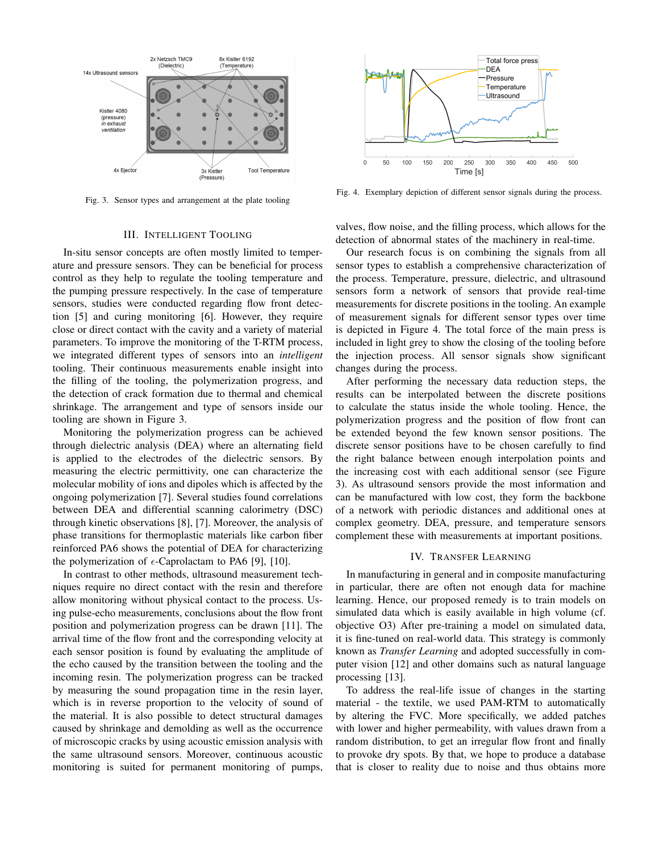

Fig. 3. Sensor types and arrangement at the plate tooling

#### III. INTELLIGENT TOOLING

In-situ sensor concepts are often mostly limited to temperature and pressure sensors. They can be beneficial for process control as they help to regulate the tooling temperature and the pumping pressure respectively. In the case of temperature sensors, studies were conducted regarding flow front detection [5] and curing monitoring [6]. However, they require close or direct contact with the cavity and a variety of material parameters. To improve the monitoring of the T-RTM process, we integrated different types of sensors into an *intelligent* tooling. Their continuous measurements enable insight into the filling of the tooling, the polymerization progress, and the detection of crack formation due to thermal and chemical shrinkage. The arrangement and type of sensors inside our tooling are shown in Figure 3.

Monitoring the polymerization progress can be achieved through dielectric analysis (DEA) where an alternating field is applied to the electrodes of the dielectric sensors. By measuring the electric permittivity, one can characterize the molecular mobility of ions and dipoles which is affected by the ongoing polymerization [7]. Several studies found correlations between DEA and differential scanning calorimetry (DSC) through kinetic observations [8], [7]. Moreover, the analysis of phase transitions for thermoplastic materials like carbon fiber reinforced PA6 shows the potential of DEA for characterizing the polymerization of  $\epsilon$ -Caprolactam to PA6 [9], [10].

In contrast to other methods, ultrasound measurement techniques require no direct contact with the resin and therefore allow monitoring without physical contact to the process. Using pulse-echo measurements, conclusions about the flow front position and polymerization progress can be drawn [11]. The arrival time of the flow front and the corresponding velocity at each sensor position is found by evaluating the amplitude of the echo caused by the transition between the tooling and the incoming resin. The polymerization progress can be tracked by measuring the sound propagation time in the resin layer, which is in reverse proportion to the velocity of sound of the material. It is also possible to detect structural damages caused by shrinkage and demolding as well as the occurrence of microscopic cracks by using acoustic emission analysis with the same ultrasound sensors. Moreover, continuous acoustic monitoring is suited for permanent monitoring of pumps,



Fig. 4. Exemplary depiction of different sensor signals during the process.

valves, flow noise, and the filling process, which allows for the detection of abnormal states of the machinery in real-time.

Our research focus is on combining the signals from all sensor types to establish a comprehensive characterization of the process. Temperature, pressure, dielectric, and ultrasound sensors form a network of sensors that provide real-time measurements for discrete positions in the tooling. An example of measurement signals for different sensor types over time is depicted in Figure 4. The total force of the main press is included in light grey to show the closing of the tooling before the injection process. All sensor signals show significant changes during the process.

After performing the necessary data reduction steps, the results can be interpolated between the discrete positions to calculate the status inside the whole tooling. Hence, the polymerization progress and the position of flow front can be extended beyond the few known sensor positions. The discrete sensor positions have to be chosen carefully to find the right balance between enough interpolation points and the increasing cost with each additional sensor (see Figure 3). As ultrasound sensors provide the most information and can be manufactured with low cost, they form the backbone of a network with periodic distances and additional ones at complex geometry. DEA, pressure, and temperature sensors complement these with measurements at important positions.

## IV. TRANSFER LEARNING

In manufacturing in general and in composite manufacturing in particular, there are often not enough data for machine learning. Hence, our proposed remedy is to train models on simulated data which is easily available in high volume (cf. objective O3) After pre-training a model on simulated data, it is fine-tuned on real-world data. This strategy is commonly known as *Transfer Learning* and adopted successfully in computer vision [12] and other domains such as natural language processing [13].

To address the real-life issue of changes in the starting material - the textile, we used PAM-RTM to automatically by altering the FVC. More specifically, we added patches with lower and higher permeability, with values drawn from a random distribution, to get an irregular flow front and finally to provoke dry spots. By that, we hope to produce a database that is closer to reality due to noise and thus obtains more